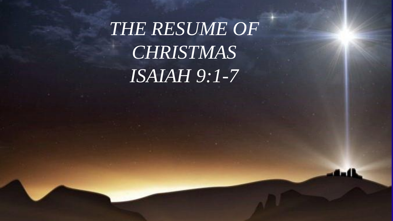*THE RESUME OF CHRISTMAS ISAIAH 9:1-7*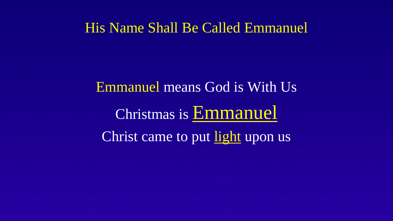#### His Name Shall Be Called Emmanuel

Emmanuel means God is With Us Christmas is Emmanuel Christ came to put light upon us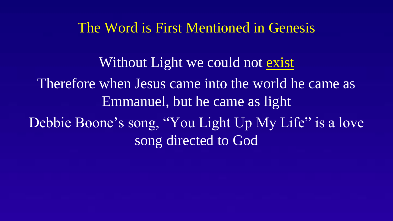#### The Word is First Mentioned in Genesis

Without Light we could not exist Therefore when Jesus came into the world he came as Emmanuel, but he came as light Debbie Boone's song, "You Light Up My Life" is a love song directed to God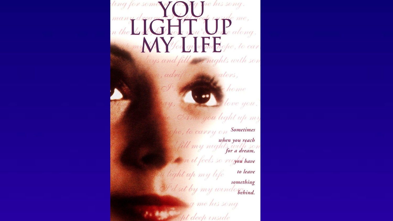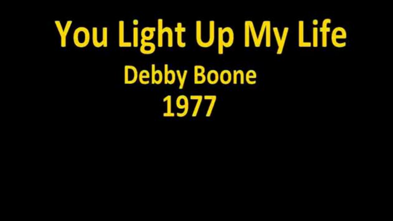# **You Light Up My Life Debby Boone** 1977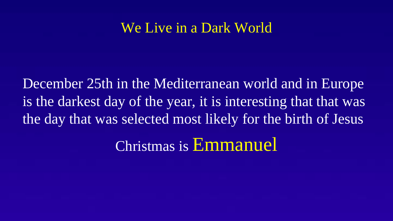## We Live in a Dark World

December 25th in the Mediterranean world and in Europe is the darkest day of the year, it is interesting that that was the day that was selected most likely for the birth of Jesus Christmas is Emmanuel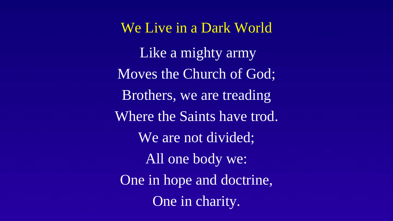We Live in a Dark World Like a mighty army Moves the Church of God; Brothers, we are treading Where the Saints have trod. We are not divided; All one body we: One in hope and doctrine, One in charity.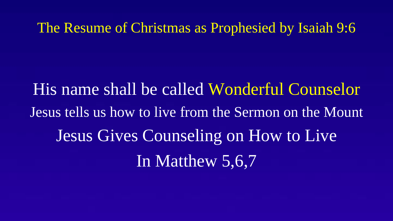The Resume of Christmas as Prophesied by Isaiah 9:6

His name shall be called Wonderful Counselor Jesus tells us how to live from the Sermon on the Mount Jesus Gives Counseling on How to Live In Matthew 5,6,7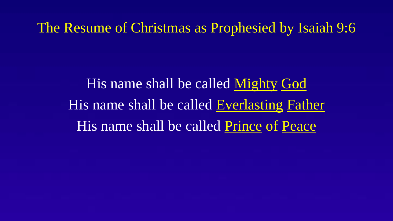The Resume of Christmas as Prophesied by Isaiah 9:6

His name shall be called Mighty God His name shall be called Everlasting Father His name shall be called Prince of Peace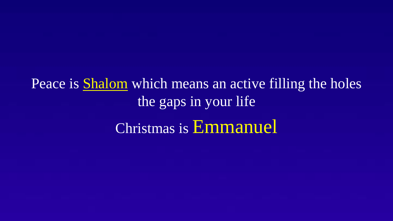Peace is **Shalom** which means an active filling the holes the gaps in your life Christmas is Emmanuel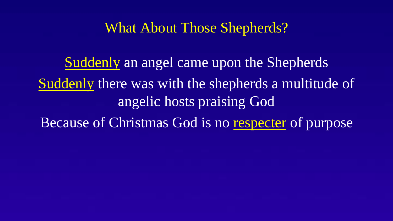### What About Those Shepherds?

Suddenly an angel came upon the Shepherds Suddenly there was with the shepherds a multitude of angelic hosts praising God Because of Christmas God is no respecter of purpose